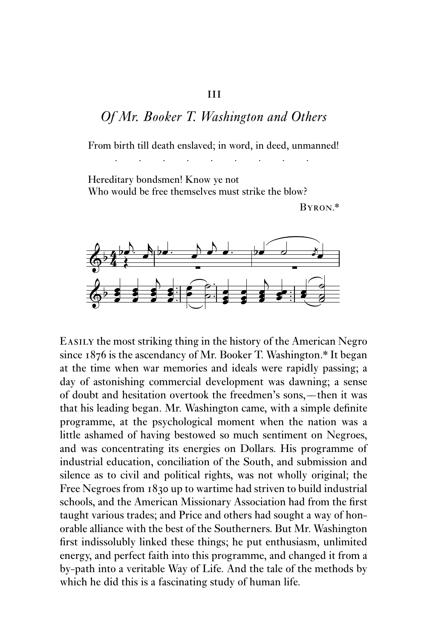## *Of Mr. Booker T. Washington and Others*

From birth till death enslaved; in word, in deed, unmanned! .........

Hereditary bondsmen! Know ye not

Who would be free themselves must strike the blow?

Byron.\*



Easily the most striking thing in the history of the American Negro since 1876 is the ascendancy of Mr. Booker T. Washington.\* It began at the time when war memories and ideals were rapidly passing; a day of astonishing commercial development was dawning; a sense of doubt and hesitation overtook the freedmen's sons,––then it was that his leading began. Mr. Washington came, with a simple definite programme, at the psychological moment when the nation was a little ashamed of having bestowed so much sentiment on Negroes, and was concentrating its energies on Dollars. His programme of industrial education, conciliation of the South, and submission and silence as to civil and political rights, was not wholly original; the Free Negroes from 1830 up to wartime had striven to build industrial schools, and the American Missionary Association had from the first taught various trades; and Price and others had sought a way of honorable alliance with the best of the Southerners. But Mr. Washington first indissolubly linked these things; he put enthusiasm, unlimited energy, and perfect faith into this programme, and changed it from a by-path into a veritable Way of Life. And the tale of the methods by which he did this is a fascinating study of human life.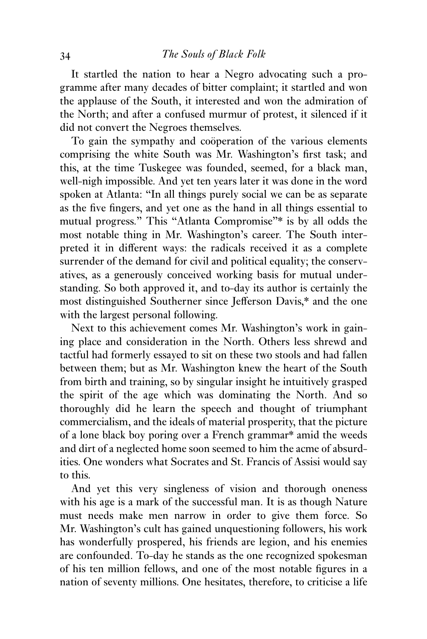It startled the nation to hear a Negro advocating such a programme after many decades of bitter complaint; it startled and won the applause of the South, it interested and won the admiration of the North; and after a confused murmur of protest, it silenced if it did not convert the Negroes themselves.

To gain the sympathy and coöperation of the various elements comprising the white South was Mr. Washington's first task; and this, at the time Tuskegee was founded, seemed, for a black man, well-nigh impossible. And yet ten years later it was done in the word spoken at Atlanta: "In all things purely social we can be as separate as the five fingers, and yet one as the hand in all things essential to mutual progress." This "Atlanta Compromise"\* is by all odds the most notable thing in Mr. Washington's career. The South interpreted it in different ways: the radicals received it as a complete surrender of the demand for civil and political equality; the conservatives, as a generously conceived working basis for mutual understanding. So both approved it, and to-day its author is certainly the most distinguished Southerner since Jefferson Davis,\* and the one with the largest personal following.

Next to this achievement comes Mr. Washington's work in gaining place and consideration in the North. Others less shrewd and tactful had formerly essayed to sit on these two stools and had fallen between them; but as Mr. Washington knew the heart of the South from birth and training, so by singular insight he intuitively grasped the spirit of the age which was dominating the North. And so thoroughly did he learn the speech and thought of triumphant commercialism, and the ideals of material prosperity, that the picture of a lone black boy poring over a French grammar\* amid the weeds and dirt of a neglected home soon seemed to him the acme of absurdities. One wonders what Socrates and St. Francis of Assisi would say to this.

And yet this very singleness of vision and thorough oneness with his age is a mark of the successful man. It is as though Nature must needs make men narrow in order to give them force. So Mr. Washington's cult has gained unquestioning followers, his work has wonderfully prospered, his friends are legion, and his enemies are confounded. To-day he stands as the one recognized spokesman of his ten million fellows, and one of the most notable figures in a nation of seventy millions. One hesitates, therefore, to criticise a life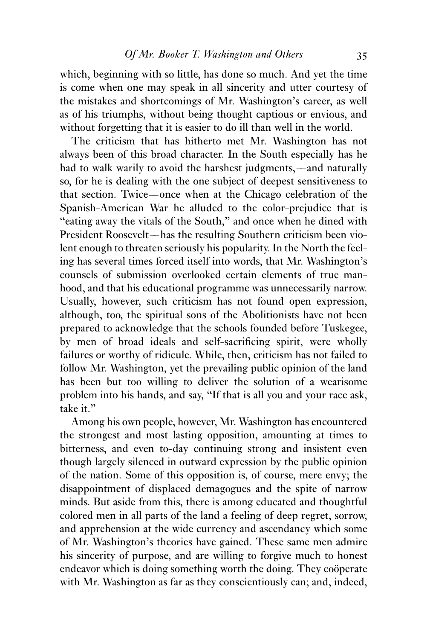which, beginning with so little, has done so much. And yet the time is come when one may speak in all sincerity and utter courtesy of the mistakes and shortcomings of Mr. Washington's career, as well as of his triumphs, without being thought captious or envious, and without forgetting that it is easier to do ill than well in the world.

The criticism that has hitherto met Mr. Washington has not always been of this broad character. In the South especially has he had to walk warily to avoid the harshest judgments,—and naturally so, for he is dealing with the one subject of deepest sensitiveness to that section. Twice––once when at the Chicago celebration of the Spanish-American War he alluded to the color-prejudice that is "eating away the vitals of the South," and once when he dined with President Roosevelt––has the resulting Southern criticism been violent enough to threaten seriously his popularity. In the North the feeling has several times forced itself into words, that Mr. Washington's counsels of submission overlooked certain elements of true manhood, and that his educational programme was unnecessarily narrow. Usually, however, such criticism has not found open expression, although, too, the spiritual sons of the Abolitionists have not been prepared to acknowledge that the schools founded before Tuskegee, by men of broad ideals and self-sacrificing spirit, were wholly failures or worthy of ridicule. While, then, criticism has not failed to follow Mr. Washington, yet the prevailing public opinion of the land has been but too willing to deliver the solution of a wearisome problem into his hands, and say, "If that is all you and your race ask, take it."

Among his own people, however, Mr. Washington has encountered the strongest and most lasting opposition, amounting at times to bitterness, and even to-day continuing strong and insistent even though largely silenced in outward expression by the public opinion of the nation. Some of this opposition is, of course, mere envy; the disappointment of displaced demagogues and the spite of narrow minds. But aside from this, there is among educated and thoughtful colored men in all parts of the land a feeling of deep regret, sorrow, and apprehension at the wide currency and ascendancy which some of Mr. Washington's theories have gained. These same men admire his sincerity of purpose, and are willing to forgive much to honest endeavor which is doing something worth the doing. They coöperate with Mr. Washington as far as they conscientiously can; and, indeed,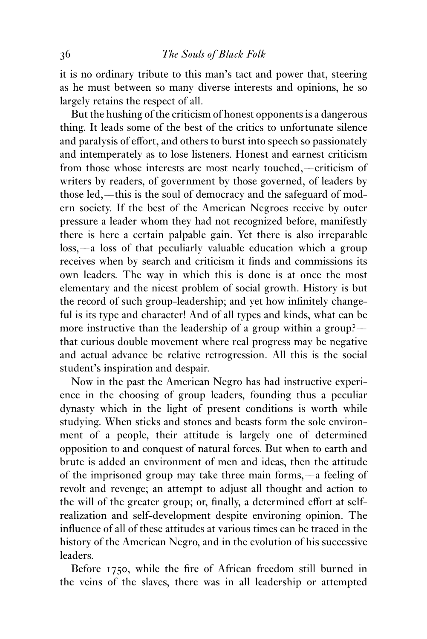it is no ordinary tribute to this man's tact and power that, steering as he must between so many diverse interests and opinions, he so largely retains the respect of all.

But the hushing of the criticism of honest opponents is a dangerous thing. It leads some of the best of the critics to unfortunate silence and paralysis of effort, and others to burst into speech so passionately and intemperately as to lose listeners. Honest and earnest criticism from those whose interests are most nearly touched,––criticism of writers by readers, of government by those governed, of leaders by those led,––this is the soul of democracy and the safeguard of modern society. If the best of the American Negroes receive by outer pressure a leader whom they had not recognized before, manifestly there is here a certain palpable gain. Yet there is also irreparable loss,––a loss of that peculiarly valuable education which a group receives when by search and criticism it finds and commissions its own leaders. The way in which this is done is at once the most elementary and the nicest problem of social growth. History is but the record of such group-leadership; and yet how infinitely changeful is its type and character! And of all types and kinds, what can be more instructive than the leadership of a group within a group? that curious double movement where real progress may be negative and actual advance be relative retrogression. All this is the social student's inspiration and despair.

Now in the past the American Negro has had instructive experience in the choosing of group leaders, founding thus a peculiar dynasty which in the light of present conditions is worth while studying. When sticks and stones and beasts form the sole environment of a people, their attitude is largely one of determined opposition to and conquest of natural forces. But when to earth and brute is added an environment of men and ideas, then the attitude of the imprisoned group may take three main forms,––a feeling of revolt and revenge; an attempt to adjust all thought and action to the will of the greater group; or, finally, a determined effort at selfrealization and self-development despite environing opinion. The influence of all of these attitudes at various times can be traced in the history of the American Negro, and in the evolution of his successive leaders.

Before 1750, while the fire of African freedom still burned in the veins of the slaves, there was in all leadership or attempted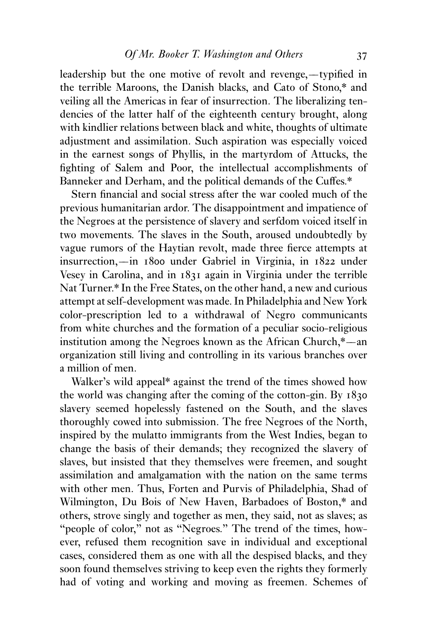leadership but the one motive of revolt and revenge,––typified in the terrible Maroons, the Danish blacks, and Cato of Stono,\* and veiling all the Americas in fear of insurrection. The liberalizing tendencies of the latter half of the eighteenth century brought, along with kindlier relations between black and white, thoughts of ultimate adjustment and assimilation. Such aspiration was especially voiced in the earnest songs of Phyllis, in the martyrdom of Attucks, the fighting of Salem and Poor, the intellectual accomplishments of Banneker and Derham, and the political demands of the Cuffes.\*

Stern financial and social stress after the war cooled much of the previous humanitarian ardor. The disappointment and impatience of the Negroes at the persistence of slavery and serfdom voiced itself in two movements. The slaves in the South, aroused undoubtedly by vague rumors of the Haytian revolt, made three fierce attempts at insurrection,––in 1800 under Gabriel in Virginia, in 1822 under Vesey in Carolina, and in 1831 again in Virginia under the terrible Nat Turner.\* In the Free States, on the other hand, a new and curious attempt at self-development was made. In Philadelphia and New York color-prescription led to a withdrawal of Negro communicants from white churches and the formation of a peculiar socio-religious institution among the Negroes known as the African Church,\*––an organization still living and controlling in its various branches over a million of men.

Walker's wild appeal\* against the trend of the times showed how the world was changing after the coming of the cotton-gin. By 1830 slavery seemed hopelessly fastened on the South, and the slaves thoroughly cowed into submission. The free Negroes of the North, inspired by the mulatto immigrants from the West Indies, began to change the basis of their demands; they recognized the slavery of slaves, but insisted that they themselves were freemen, and sought assimilation and amalgamation with the nation on the same terms with other men. Thus, Forten and Purvis of Philadelphia, Shad of Wilmington, Du Bois of New Haven, Barbadoes of Boston,\* and others, strove singly and together as men, they said, not as slaves; as "people of color," not as "Negroes." The trend of the times, however, refused them recognition save in individual and exceptional cases, considered them as one with all the despised blacks, and they soon found themselves striving to keep even the rights they formerly had of voting and working and moving as freemen. Schemes of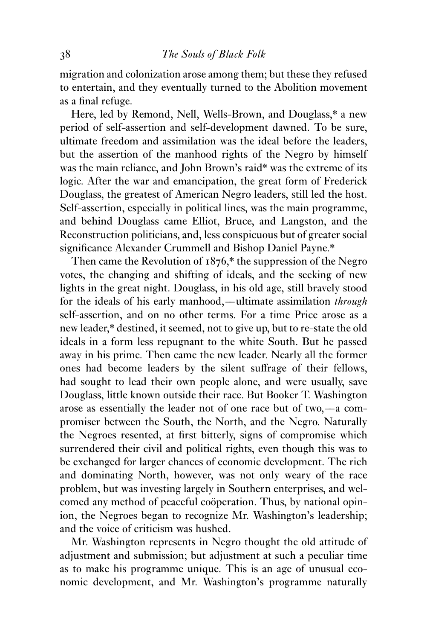migration and colonization arose among them; but these they refused to entertain, and they eventually turned to the Abolition movement as a final refuge.

Here, led by Remond, Nell, Wells-Brown, and Douglass,\* a new period of self-assertion and self-development dawned. To be sure, ultimate freedom and assimilation was the ideal before the leaders, but the assertion of the manhood rights of the Negro by himself was the main reliance, and John Brown's raid\* was the extreme of its logic. After the war and emancipation, the great form of Frederick Douglass, the greatest of American Negro leaders, still led the host. Self-assertion, especially in political lines, was the main programme, and behind Douglass came Elliot, Bruce, and Langston, and the Reconstruction politicians, and, less conspicuous but of greater social significance Alexander Crummell and Bishop Daniel Payne.\*

Then came the Revolution of 1876,\* the suppression of the Negro votes, the changing and shifting of ideals, and the seeking of new lights in the great night. Douglass, in his old age, still bravely stood for the ideals of his early manhood,––ultimate assimilation *through* self-assertion, and on no other terms. For a time Price arose as a new leader,\* destined, it seemed, not to give up, but to re-state the old ideals in a form less repugnant to the white South. But he passed away in his prime. Then came the new leader. Nearly all the former ones had become leaders by the silent suffrage of their fellows, had sought to lead their own people alone, and were usually, save Douglass, little known outside their race. But Booker T. Washington arose as essentially the leader not of one race but of two,––a compromiser between the South, the North, and the Negro. Naturally the Negroes resented, at first bitterly, signs of compromise which surrendered their civil and political rights, even though this was to be exchanged for larger chances of economic development. The rich and dominating North, however, was not only weary of the race problem, but was investing largely in Southern enterprises, and welcomed any method of peaceful coöperation. Thus, by national opinion, the Negroes began to recognize Mr. Washington's leadership; and the voice of criticism was hushed.

Mr. Washington represents in Negro thought the old attitude of adjustment and submission; but adjustment at such a peculiar time as to make his programme unique. This is an age of unusual economic development, and Mr. Washington's programme naturally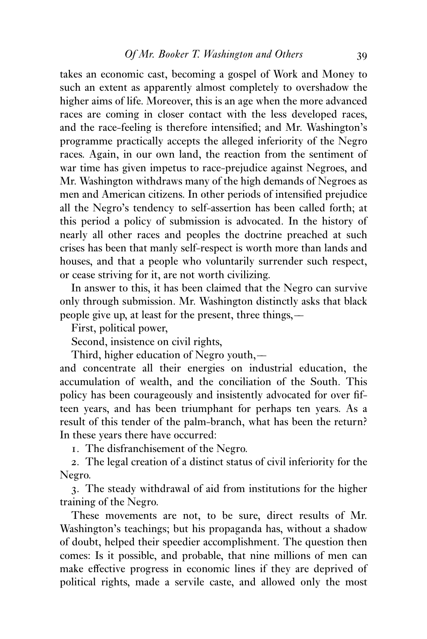takes an economic cast, becoming a gospel of Work and Money to such an extent as apparently almost completely to overshadow the higher aims of life. Moreover, this is an age when the more advanced races are coming in closer contact with the less developed races, and the race-feeling is therefore intensified; and Mr. Washington's programme practically accepts the alleged inferiority of the Negro races. Again, in our own land, the reaction from the sentiment of war time has given impetus to race-prejudice against Negroes, and Mr. Washington withdraws many of the high demands of Negroes as men and American citizens. In other periods of intensified prejudice all the Negro's tendency to self-assertion has been called forth; at this period a policy of submission is advocated. In the history of nearly all other races and peoples the doctrine preached at such crises has been that manly self-respect is worth more than lands and houses, and that a people who voluntarily surrender such respect, or cease striving for it, are not worth civilizing.

In answer to this, it has been claimed that the Negro can survive only through submission. Mr. Washington distinctly asks that black people give up, at least for the present, three things,––

First, political power,

Second, insistence on civil rights,

Third, higher education of Negro youth,––

and concentrate all their energies on industrial education, the accumulation of wealth, and the conciliation of the South. This policy has been courageously and insistently advocated for over fifteen years, and has been triumphant for perhaps ten years. As a result of this tender of the palm-branch, what has been the return? In these years there have occurred:

1. The disfranchisement of the Negro.

2. The legal creation of a distinct status of civil inferiority for the Negro.

3. The steady withdrawal of aid from institutions for the higher training of the Negro.

These movements are not, to be sure, direct results of Mr. Washington's teachings; but his propaganda has, without a shadow of doubt, helped their speedier accomplishment. The question then comes: Is it possible, and probable, that nine millions of men can make effective progress in economic lines if they are deprived of political rights, made a servile caste, and allowed only the most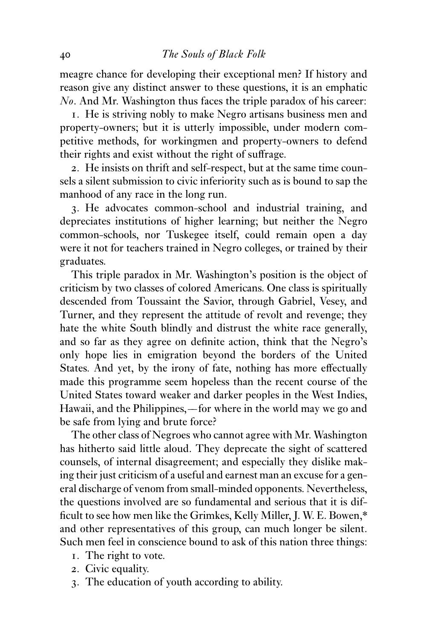meagre chance for developing their exceptional men? If history and reason give any distinct answer to these questions, it is an emphatic *No*. And Mr. Washington thus faces the triple paradox of his career:

1. He is striving nobly to make Negro artisans business men and property-owners; but it is utterly impossible, under modern competitive methods, for workingmen and property-owners to defend their rights and exist without the right of suffrage.

2. He insists on thrift and self-respect, but at the same time counsels a silent submission to civic inferiority such as is bound to sap the manhood of any race in the long run.

3. He advocates common-school and industrial training, and depreciates institutions of higher learning; but neither the Negro common-schools, nor Tuskegee itself, could remain open a day were it not for teachers trained in Negro colleges, or trained by their graduates.

This triple paradox in Mr. Washington's position is the object of criticism by two classes of colored Americans. One class is spiritually descended from Toussaint the Savior, through Gabriel, Vesey, and Turner, and they represent the attitude of revolt and revenge; they hate the white South blindly and distrust the white race generally, and so far as they agree on definite action, think that the Negro's only hope lies in emigration beyond the borders of the United States. And yet, by the irony of fate, nothing has more effectually made this programme seem hopeless than the recent course of the United States toward weaker and darker peoples in the West Indies, Hawaii, and the Philippines,––for where in the world may we go and be safe from lying and brute force?

The other class of Negroes who cannot agree with Mr. Washington has hitherto said little aloud. They deprecate the sight of scattered counsels, of internal disagreement; and especially they dislike making their just criticism of a useful and earnest man an excuse for a general discharge of venom from small-minded opponents. Nevertheless, the questions involved are so fundamental and serious that it is difficult to see how men like the Grimkes, Kelly Miller, J. W. E. Bowen,\* and other representatives of this group, can much longer be silent. Such men feel in conscience bound to ask of this nation three things:

- 1. The right to vote.
- 2. Civic equality.
- 3. The education of youth according to ability.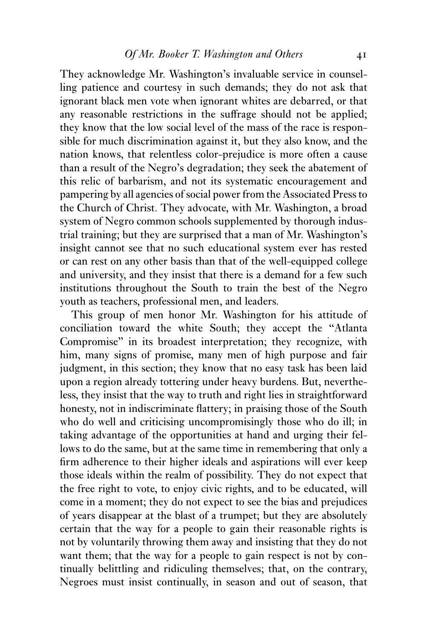They acknowledge Mr. Washington's invaluable service in counselling patience and courtesy in such demands; they do not ask that ignorant black men vote when ignorant whites are debarred, or that any reasonable restrictions in the suffrage should not be applied; they know that the low social level of the mass of the race is responsible for much discrimination against it, but they also know, and the nation knows, that relentless color-prejudice is more often a cause than a result of the Negro's degradation; they seek the abatement of this relic of barbarism, and not its systematic encouragement and pampering by all agencies of social power from the Associated Press to the Church of Christ. They advocate, with Mr. Washington, a broad system of Negro common schools supplemented by thorough industrial training; but they are surprised that a man of Mr. Washington's insight cannot see that no such educational system ever has rested or can rest on any other basis than that of the well-equipped college and university, and they insist that there is a demand for a few such institutions throughout the South to train the best of the Negro youth as teachers, professional men, and leaders.

This group of men honor Mr. Washington for his attitude of conciliation toward the white South; they accept the "Atlanta Compromise" in its broadest interpretation; they recognize, with him, many signs of promise, many men of high purpose and fair judgment, in this section; they know that no easy task has been laid upon a region already tottering under heavy burdens. But, nevertheless, they insist that the way to truth and right lies in straightforward honesty, not in indiscriminate flattery; in praising those of the South who do well and criticising uncompromisingly those who do ill; in taking advantage of the opportunities at hand and urging their fellows to do the same, but at the same time in remembering that only a firm adherence to their higher ideals and aspirations will ever keep those ideals within the realm of possibility. They do not expect that the free right to vote, to enjoy civic rights, and to be educated, will come in a moment; they do not expect to see the bias and prejudices of years disappear at the blast of a trumpet; but they are absolutely certain that the way for a people to gain their reasonable rights is not by voluntarily throwing them away and insisting that they do not want them; that the way for a people to gain respect is not by continually belittling and ridiculing themselves; that, on the contrary, Negroes must insist continually, in season and out of season, that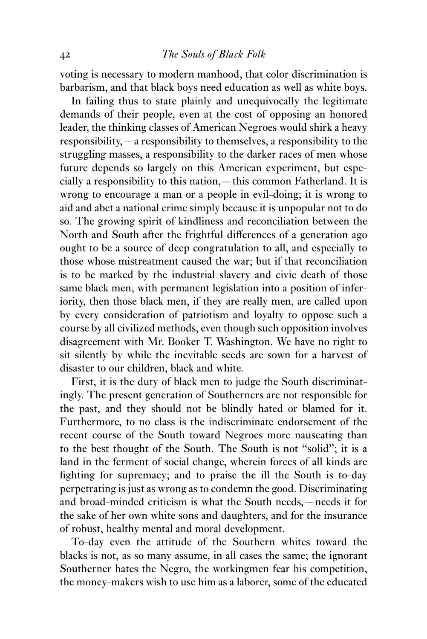voting is necessary to modern manhood, that color discrimination is barbarism, and that black boys need education as well as white boys.

In failing thus to state plainly and unequivocally the legitimate demands of their people, even at the cost of opposing an honored leader, the thinking classes of American Negroes would shirk a heavy responsibility,––a responsibility to themselves, a responsibility to the struggling masses, a responsibility to the darker races of men whose future depends so largely on this American experiment, but especially a responsibility to this nation,––this common Fatherland. It is wrong to encourage a man or a people in evil-doing; it is wrong to aid and abet a national crime simply because it is unpopular not to do so. The growing spirit of kindliness and reconciliation between the North and South after the frightful differences of a generation ago ought to be a source of deep congratulation to all, and especially to those whose mistreatment caused the war; but if that reconciliation is to be marked by the industrial slavery and civic death of those same black men, with permanent legislation into a position of inferiority, then those black men, if they are really men, are called upon by every consideration of patriotism and loyalty to oppose such a course by all civilized methods, even though such opposition involves disagreement with Mr. Booker T. Washington. We have no right to sit silently by while the inevitable seeds are sown for a harvest of disaster to our children, black and white.

First, it is the duty of black men to judge the South discriminatingly. The present generation of Southerners are not responsible for the past, and they should not be blindly hated or blamed for it. Furthermore, to no class is the indiscriminate endorsement of the recent course of the South toward Negroes more nauseating than to the best thought of the South. The South is not "solid"; it is a land in the ferment of social change, wherein forces of all kinds are fighting for supremacy; and to praise the ill the South is to-day perpetrating is just as wrong as to condemn the good. Discriminating and broad-minded criticism is what the South needs,––needs it for the sake of her own white sons and daughters, and for the insurance of robust, healthy mental and moral development.

To-day even the attitude of the Southern whites toward the blacks is not, as so many assume, in all cases the same; the ignorant Southerner hates the Negro, the workingmen fear his competition, the money-makers wish to use him as a laborer, some of the educated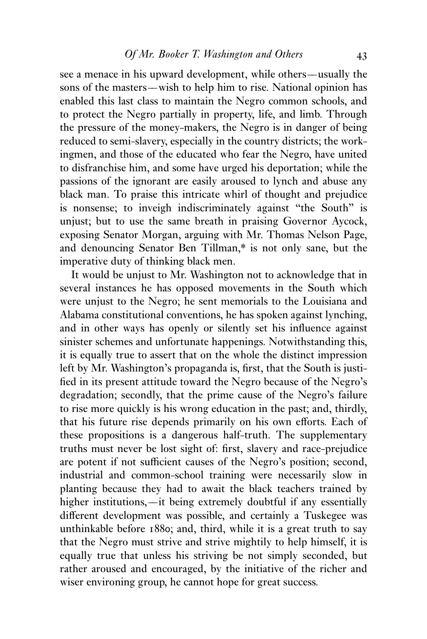see a menace in his upward development, while others––usually the sons of the masters––wish to help him to rise. National opinion has enabled this last class to maintain the Negro common schools, and to protect the Negro partially in property, life, and limb. Through the pressure of the money-makers, the Negro is in danger of being reduced to semi-slavery, especially in the country districts; the workingmen, and those of the educated who fear the Negro, have united to disfranchise him, and some have urged his deportation; while the passions of the ignorant are easily aroused to lynch and abuse any black man. To praise this intricate whirl of thought and prejudice is nonsense; to inveigh indiscriminately against "the South" is unjust; but to use the same breath in praising Governor Aycock, exposing Senator Morgan, arguing with Mr. Thomas Nelson Page, and denouncing Senator Ben Tillman,\* is not only sane, but the imperative duty of thinking black men.

It would be unjust to Mr. Washington not to acknowledge that in several instances he has opposed movements in the South which were unjust to the Negro; he sent memorials to the Louisiana and Alabama constitutional conventions, he has spoken against lynching, and in other ways has openly or silently set his influence against sinister schemes and unfortunate happenings. Notwithstanding this, it is equally true to assert that on the whole the distinct impression left by Mr. Washington's propaganda is, first, that the South is justified in its present attitude toward the Negro because of the Negro's degradation; secondly, that the prime cause of the Negro's failure to rise more quickly is his wrong education in the past; and, thirdly, that his future rise depends primarily on his own efforts. Each of these propositions is a dangerous half-truth. The supplementary truths must never be lost sight of: first, slavery and race-prejudice are potent if not sufficient causes of the Negro's position; second, industrial and common-school training were necessarily slow in planting because they had to await the black teachers trained by higher institutions,—it being extremely doubtful if any essentially different development was possible, and certainly a Tuskegee was unthinkable before 1880; and, third, while it is a great truth to say that the Negro must strive and strive mightily to help himself, it is equally true that unless his striving be not simply seconded, but rather aroused and encouraged, by the initiative of the richer and wiser environing group, he cannot hope for great success.